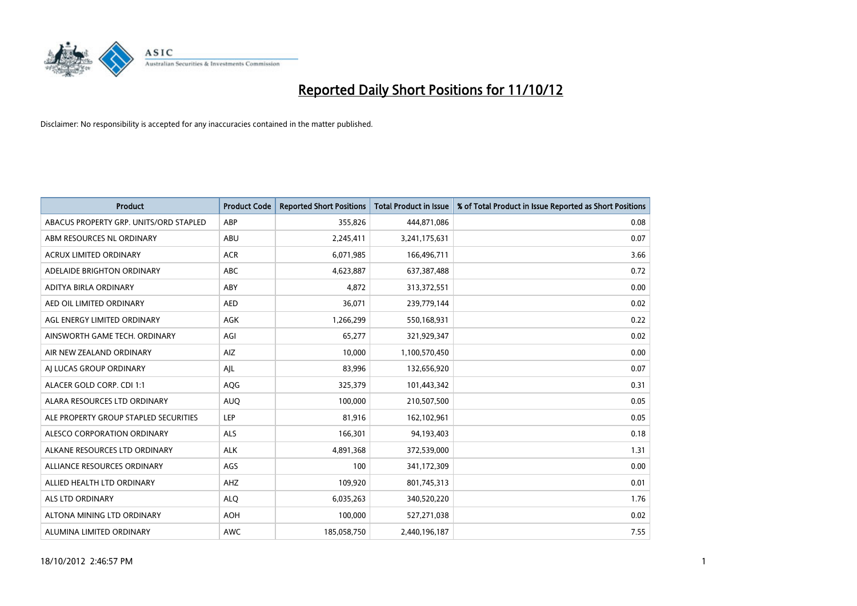

| <b>Product</b>                         | <b>Product Code</b> | <b>Reported Short Positions</b> | <b>Total Product in Issue</b> | % of Total Product in Issue Reported as Short Positions |
|----------------------------------------|---------------------|---------------------------------|-------------------------------|---------------------------------------------------------|
| ABACUS PROPERTY GRP. UNITS/ORD STAPLED | ABP                 | 355,826                         | 444,871,086                   | 0.08                                                    |
| ABM RESOURCES NL ORDINARY              | <b>ABU</b>          | 2,245,411                       | 3,241,175,631                 | 0.07                                                    |
| <b>ACRUX LIMITED ORDINARY</b>          | <b>ACR</b>          | 6,071,985                       | 166,496,711                   | 3.66                                                    |
| ADELAIDE BRIGHTON ORDINARY             | <b>ABC</b>          | 4,623,887                       | 637,387,488                   | 0.72                                                    |
| ADITYA BIRLA ORDINARY                  | ABY                 | 4.872                           | 313,372,551                   | 0.00                                                    |
| AED OIL LIMITED ORDINARY               | <b>AED</b>          | 36,071                          | 239,779,144                   | 0.02                                                    |
| AGL ENERGY LIMITED ORDINARY            | <b>AGK</b>          | 1,266,299                       | 550,168,931                   | 0.22                                                    |
| AINSWORTH GAME TECH. ORDINARY          | AGI                 | 65,277                          | 321,929,347                   | 0.02                                                    |
| AIR NEW ZEALAND ORDINARY               | AIZ                 | 10,000                          | 1,100,570,450                 | 0.00                                                    |
| AI LUCAS GROUP ORDINARY                | AJL                 | 83,996                          | 132,656,920                   | 0.07                                                    |
| ALACER GOLD CORP. CDI 1:1              | AQG                 | 325,379                         | 101,443,342                   | 0.31                                                    |
| ALARA RESOURCES LTD ORDINARY           | <b>AUQ</b>          | 100,000                         | 210,507,500                   | 0.05                                                    |
| ALE PROPERTY GROUP STAPLED SECURITIES  | LEP                 | 81,916                          | 162,102,961                   | 0.05                                                    |
| ALESCO CORPORATION ORDINARY            | <b>ALS</b>          | 166,301                         | 94,193,403                    | 0.18                                                    |
| ALKANE RESOURCES LTD ORDINARY          | <b>ALK</b>          | 4,891,368                       | 372,539,000                   | 1.31                                                    |
| ALLIANCE RESOURCES ORDINARY            | AGS                 | 100                             | 341,172,309                   | 0.00                                                    |
| ALLIED HEALTH LTD ORDINARY             | AHZ                 | 109,920                         | 801,745,313                   | 0.01                                                    |
| ALS LTD ORDINARY                       | <b>ALO</b>          | 6,035,263                       | 340,520,220                   | 1.76                                                    |
| ALTONA MINING LTD ORDINARY             | <b>AOH</b>          | 100,000                         | 527,271,038                   | 0.02                                                    |
| ALUMINA LIMITED ORDINARY               | <b>AWC</b>          | 185,058,750                     | 2,440,196,187                 | 7.55                                                    |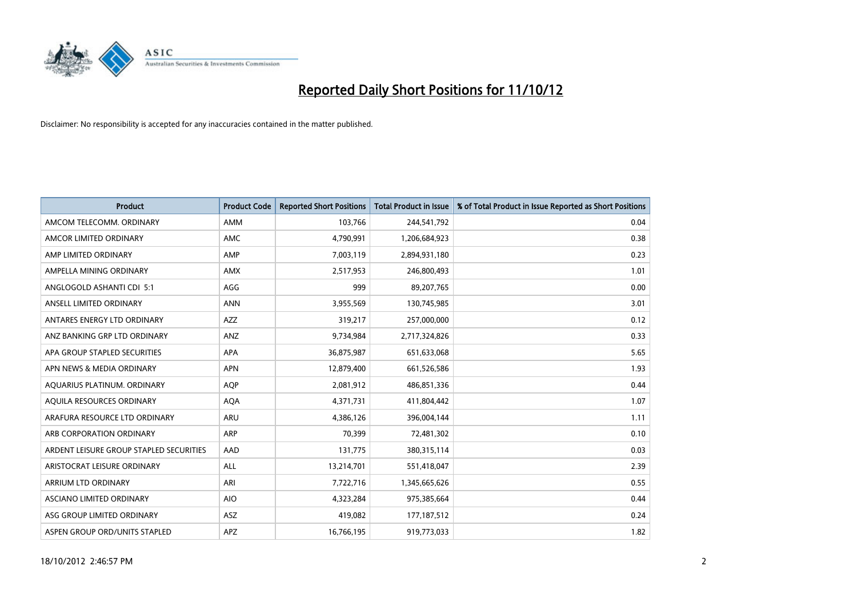

| <b>Product</b>                          | <b>Product Code</b> | <b>Reported Short Positions</b> | <b>Total Product in Issue</b> | % of Total Product in Issue Reported as Short Positions |
|-----------------------------------------|---------------------|---------------------------------|-------------------------------|---------------------------------------------------------|
| AMCOM TELECOMM, ORDINARY                | AMM                 | 103,766                         | 244,541,792                   | 0.04                                                    |
| AMCOR LIMITED ORDINARY                  | <b>AMC</b>          | 4,790,991                       | 1,206,684,923                 | 0.38                                                    |
| AMP LIMITED ORDINARY                    | AMP                 | 7,003,119                       | 2,894,931,180                 | 0.23                                                    |
| AMPELLA MINING ORDINARY                 | <b>AMX</b>          | 2,517,953                       | 246,800,493                   | 1.01                                                    |
| ANGLOGOLD ASHANTI CDI 5:1               | AGG                 | 999                             | 89,207,765                    | 0.00                                                    |
| ANSELL LIMITED ORDINARY                 | <b>ANN</b>          | 3,955,569                       | 130,745,985                   | 3.01                                                    |
| ANTARES ENERGY LTD ORDINARY             | <b>AZZ</b>          | 319,217                         | 257,000,000                   | 0.12                                                    |
| ANZ BANKING GRP LTD ORDINARY            | ANZ                 | 9,734,984                       | 2,717,324,826                 | 0.33                                                    |
| APA GROUP STAPLED SECURITIES            | APA                 | 36,875,987                      | 651,633,068                   | 5.65                                                    |
| APN NEWS & MEDIA ORDINARY               | <b>APN</b>          | 12,879,400                      | 661,526,586                   | 1.93                                                    |
| AQUARIUS PLATINUM. ORDINARY             | <b>AOP</b>          | 2,081,912                       | 486,851,336                   | 0.44                                                    |
| AQUILA RESOURCES ORDINARY               | <b>AQA</b>          | 4,371,731                       | 411,804,442                   | 1.07                                                    |
| ARAFURA RESOURCE LTD ORDINARY           | ARU                 | 4,386,126                       | 396,004,144                   | 1.11                                                    |
| ARB CORPORATION ORDINARY                | <b>ARP</b>          | 70,399                          | 72,481,302                    | 0.10                                                    |
| ARDENT LEISURE GROUP STAPLED SECURITIES | AAD                 | 131,775                         | 380,315,114                   | 0.03                                                    |
| ARISTOCRAT LEISURE ORDINARY             | ALL                 | 13,214,701                      | 551,418,047                   | 2.39                                                    |
| ARRIUM LTD ORDINARY                     | ARI                 | 7,722,716                       | 1,345,665,626                 | 0.55                                                    |
| ASCIANO LIMITED ORDINARY                | <b>AIO</b>          | 4,323,284                       | 975,385,664                   | 0.44                                                    |
| ASG GROUP LIMITED ORDINARY              | <b>ASZ</b>          | 419,082                         | 177, 187, 512                 | 0.24                                                    |
| ASPEN GROUP ORD/UNITS STAPLED           | <b>APZ</b>          | 16,766,195                      | 919,773,033                   | 1.82                                                    |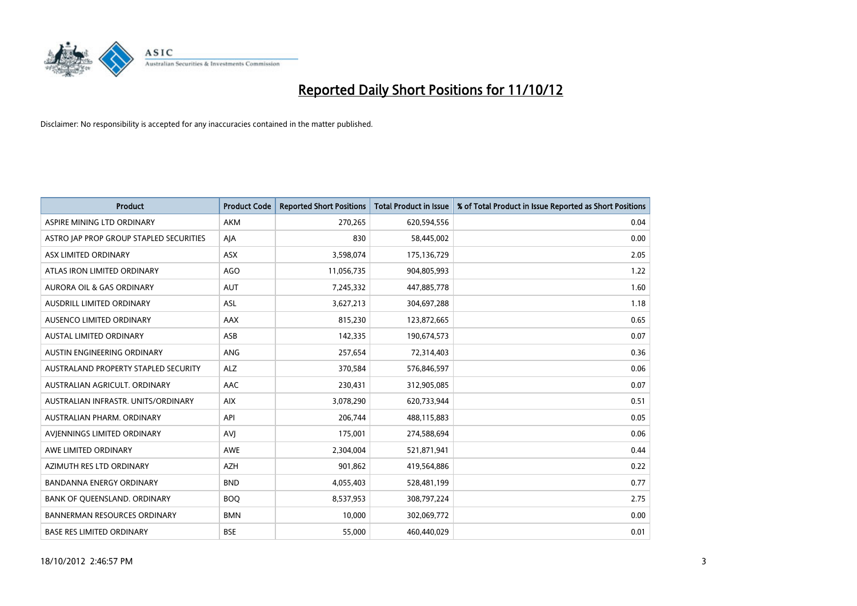

| <b>Product</b>                          | <b>Product Code</b> | <b>Reported Short Positions</b> | <b>Total Product in Issue</b> | % of Total Product in Issue Reported as Short Positions |
|-----------------------------------------|---------------------|---------------------------------|-------------------------------|---------------------------------------------------------|
| ASPIRE MINING LTD ORDINARY              | <b>AKM</b>          | 270,265                         | 620,594,556                   | 0.04                                                    |
| ASTRO JAP PROP GROUP STAPLED SECURITIES | AJA                 | 830                             | 58,445,002                    | 0.00                                                    |
| ASX LIMITED ORDINARY                    | <b>ASX</b>          | 3,598,074                       | 175,136,729                   | 2.05                                                    |
| ATLAS IRON LIMITED ORDINARY             | AGO                 | 11,056,735                      | 904,805,993                   | 1.22                                                    |
| <b>AURORA OIL &amp; GAS ORDINARY</b>    | <b>AUT</b>          | 7,245,332                       | 447,885,778                   | 1.60                                                    |
| AUSDRILL LIMITED ORDINARY               | <b>ASL</b>          | 3,627,213                       | 304,697,288                   | 1.18                                                    |
| AUSENCO LIMITED ORDINARY                | AAX                 | 815,230                         | 123,872,665                   | 0.65                                                    |
| <b>AUSTAL LIMITED ORDINARY</b>          | ASB                 | 142,335                         | 190,674,573                   | 0.07                                                    |
| AUSTIN ENGINEERING ORDINARY             | <b>ANG</b>          | 257,654                         | 72,314,403                    | 0.36                                                    |
| AUSTRALAND PROPERTY STAPLED SECURITY    | <b>ALZ</b>          | 370,584                         | 576,846,597                   | 0.06                                                    |
| AUSTRALIAN AGRICULT. ORDINARY           | <b>AAC</b>          | 230,431                         | 312,905,085                   | 0.07                                                    |
| AUSTRALIAN INFRASTR, UNITS/ORDINARY     | <b>AIX</b>          | 3,078,290                       | 620,733,944                   | 0.51                                                    |
| AUSTRALIAN PHARM. ORDINARY              | API                 | 206,744                         | 488,115,883                   | 0.05                                                    |
| AVIENNINGS LIMITED ORDINARY             | AVI                 | 175,001                         | 274,588,694                   | 0.06                                                    |
| AWE LIMITED ORDINARY                    | <b>AWE</b>          | 2,304,004                       | 521,871,941                   | 0.44                                                    |
| AZIMUTH RES LTD ORDINARY                | <b>AZH</b>          | 901,862                         | 419,564,886                   | 0.22                                                    |
| BANDANNA ENERGY ORDINARY                | <b>BND</b>          | 4,055,403                       | 528,481,199                   | 0.77                                                    |
| BANK OF QUEENSLAND. ORDINARY            | <b>BOQ</b>          | 8,537,953                       | 308,797,224                   | 2.75                                                    |
| <b>BANNERMAN RESOURCES ORDINARY</b>     | <b>BMN</b>          | 10,000                          | 302,069,772                   | 0.00                                                    |
| <b>BASE RES LIMITED ORDINARY</b>        | <b>BSE</b>          | 55,000                          | 460,440,029                   | 0.01                                                    |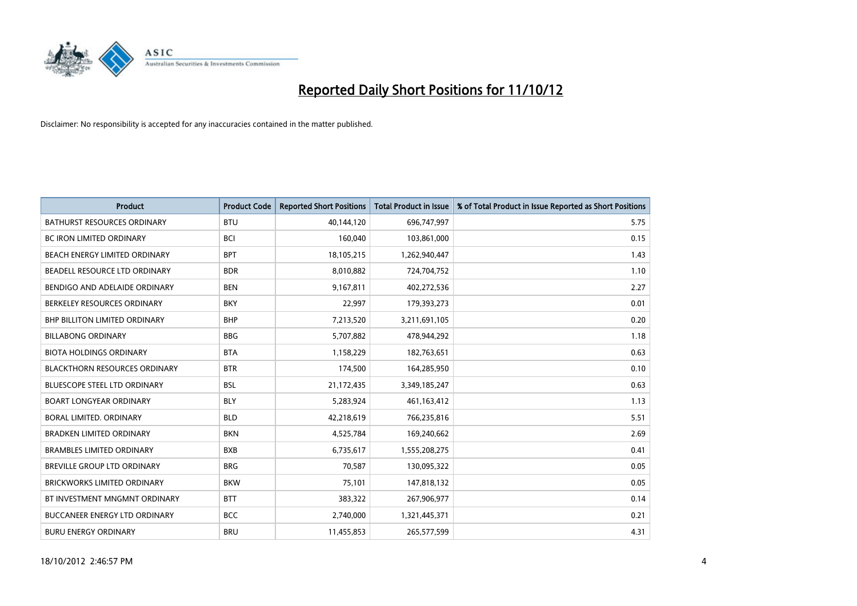

| <b>Product</b>                       | <b>Product Code</b> | <b>Reported Short Positions</b> | Total Product in Issue | % of Total Product in Issue Reported as Short Positions |
|--------------------------------------|---------------------|---------------------------------|------------------------|---------------------------------------------------------|
| <b>BATHURST RESOURCES ORDINARY</b>   | <b>BTU</b>          | 40,144,120                      | 696,747,997            | 5.75                                                    |
| BC IRON LIMITED ORDINARY             | <b>BCI</b>          | 160,040                         | 103,861,000            | 0.15                                                    |
| <b>BEACH ENERGY LIMITED ORDINARY</b> | <b>BPT</b>          | 18,105,215                      | 1,262,940,447          | 1.43                                                    |
| BEADELL RESOURCE LTD ORDINARY        | <b>BDR</b>          | 8,010,882                       | 724,704,752            | 1.10                                                    |
| BENDIGO AND ADELAIDE ORDINARY        | <b>BEN</b>          | 9,167,811                       | 402,272,536            | 2.27                                                    |
| BERKELEY RESOURCES ORDINARY          | <b>BKY</b>          | 22,997                          | 179,393,273            | 0.01                                                    |
| <b>BHP BILLITON LIMITED ORDINARY</b> | <b>BHP</b>          | 7,213,520                       | 3,211,691,105          | 0.20                                                    |
| <b>BILLABONG ORDINARY</b>            | <b>BBG</b>          | 5,707,882                       | 478,944,292            | 1.18                                                    |
| <b>BIOTA HOLDINGS ORDINARY</b>       | <b>BTA</b>          | 1,158,229                       | 182,763,651            | 0.63                                                    |
| <b>BLACKTHORN RESOURCES ORDINARY</b> | <b>BTR</b>          | 174,500                         | 164,285,950            | 0.10                                                    |
| <b>BLUESCOPE STEEL LTD ORDINARY</b>  | <b>BSL</b>          | 21,172,435                      | 3,349,185,247          | 0.63                                                    |
| <b>BOART LONGYEAR ORDINARY</b>       | <b>BLY</b>          | 5,283,924                       | 461,163,412            | 1.13                                                    |
| <b>BORAL LIMITED, ORDINARY</b>       | <b>BLD</b>          | 42,218,619                      | 766,235,816            | 5.51                                                    |
| <b>BRADKEN LIMITED ORDINARY</b>      | <b>BKN</b>          | 4,525,784                       | 169,240,662            | 2.69                                                    |
| <b>BRAMBLES LIMITED ORDINARY</b>     | <b>BXB</b>          | 6,735,617                       | 1,555,208,275          | 0.41                                                    |
| BREVILLE GROUP LTD ORDINARY          | <b>BRG</b>          | 70,587                          | 130,095,322            | 0.05                                                    |
| <b>BRICKWORKS LIMITED ORDINARY</b>   | <b>BKW</b>          | 75,101                          | 147,818,132            | 0.05                                                    |
| BT INVESTMENT MNGMNT ORDINARY        | <b>BTT</b>          | 383,322                         | 267,906,977            | 0.14                                                    |
| <b>BUCCANEER ENERGY LTD ORDINARY</b> | <b>BCC</b>          | 2,740,000                       | 1,321,445,371          | 0.21                                                    |
| <b>BURU ENERGY ORDINARY</b>          | <b>BRU</b>          | 11,455,853                      | 265,577,599            | 4.31                                                    |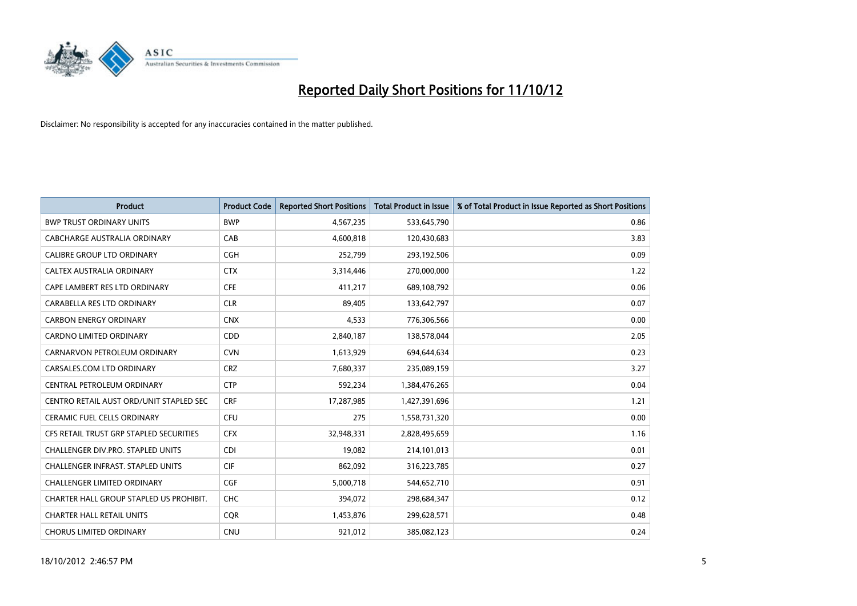

| <b>Product</b>                          | <b>Product Code</b> | <b>Reported Short Positions</b> | <b>Total Product in Issue</b> | % of Total Product in Issue Reported as Short Positions |
|-----------------------------------------|---------------------|---------------------------------|-------------------------------|---------------------------------------------------------|
| <b>BWP TRUST ORDINARY UNITS</b>         | <b>BWP</b>          | 4,567,235                       | 533,645,790                   | 0.86                                                    |
| CABCHARGE AUSTRALIA ORDINARY            | CAB                 | 4,600,818                       | 120,430,683                   | 3.83                                                    |
| <b>CALIBRE GROUP LTD ORDINARY</b>       | <b>CGH</b>          | 252,799                         | 293,192,506                   | 0.09                                                    |
| CALTEX AUSTRALIA ORDINARY               | <b>CTX</b>          | 3,314,446                       | 270,000,000                   | 1.22                                                    |
| CAPE LAMBERT RES LTD ORDINARY           | <b>CFE</b>          | 411,217                         | 689,108,792                   | 0.06                                                    |
| CARABELLA RES LTD ORDINARY              | <b>CLR</b>          | 89,405                          | 133,642,797                   | 0.07                                                    |
| <b>CARBON ENERGY ORDINARY</b>           | <b>CNX</b>          | 4.533                           | 776,306,566                   | 0.00                                                    |
| CARDNO LIMITED ORDINARY                 | CDD                 | 2,840,187                       | 138,578,044                   | 2.05                                                    |
| CARNARVON PETROLEUM ORDINARY            | <b>CVN</b>          | 1,613,929                       | 694,644,634                   | 0.23                                                    |
| CARSALES.COM LTD ORDINARY               | <b>CRZ</b>          | 7,680,337                       | 235,089,159                   | 3.27                                                    |
| CENTRAL PETROLEUM ORDINARY              | <b>CTP</b>          | 592,234                         | 1,384,476,265                 | 0.04                                                    |
| CENTRO RETAIL AUST ORD/UNIT STAPLED SEC | <b>CRF</b>          | 17,287,985                      | 1,427,391,696                 | 1.21                                                    |
| <b>CERAMIC FUEL CELLS ORDINARY</b>      | <b>CFU</b>          | 275                             | 1,558,731,320                 | 0.00                                                    |
| CFS RETAIL TRUST GRP STAPLED SECURITIES | <b>CFX</b>          | 32,948,331                      | 2,828,495,659                 | 1.16                                                    |
| CHALLENGER DIV.PRO. STAPLED UNITS       | <b>CDI</b>          | 19,082                          | 214,101,013                   | 0.01                                                    |
| CHALLENGER INFRAST. STAPLED UNITS       | <b>CIF</b>          | 862,092                         | 316,223,785                   | 0.27                                                    |
| <b>CHALLENGER LIMITED ORDINARY</b>      | <b>CGF</b>          | 5,000,718                       | 544,652,710                   | 0.91                                                    |
| CHARTER HALL GROUP STAPLED US PROHIBIT. | <b>CHC</b>          | 394,072                         | 298,684,347                   | 0.12                                                    |
| <b>CHARTER HALL RETAIL UNITS</b>        | <b>COR</b>          | 1,453,876                       | 299,628,571                   | 0.48                                                    |
| <b>CHORUS LIMITED ORDINARY</b>          | <b>CNU</b>          | 921,012                         | 385,082,123                   | 0.24                                                    |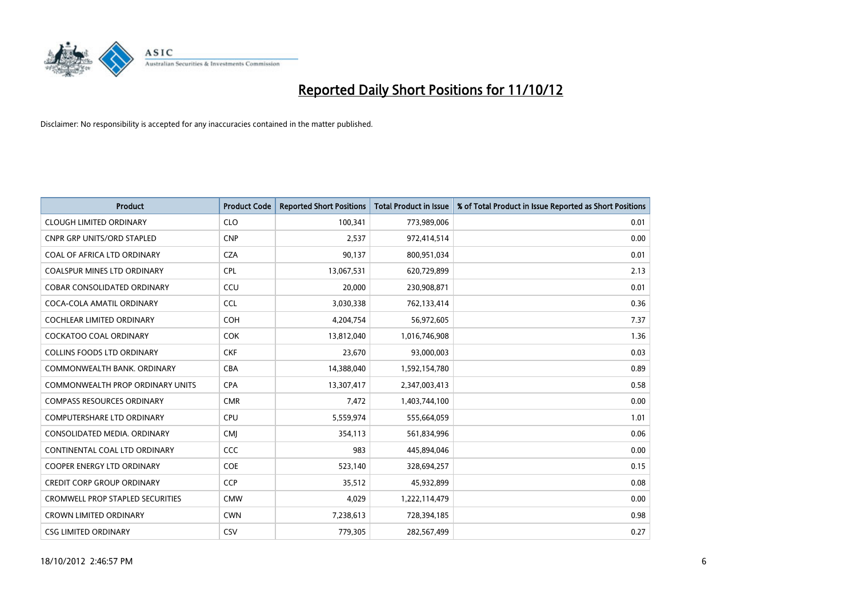

| <b>Product</b>                          | <b>Product Code</b> | <b>Reported Short Positions</b> | Total Product in Issue | % of Total Product in Issue Reported as Short Positions |
|-----------------------------------------|---------------------|---------------------------------|------------------------|---------------------------------------------------------|
| <b>CLOUGH LIMITED ORDINARY</b>          | <b>CLO</b>          | 100,341                         | 773,989,006            | 0.01                                                    |
| <b>CNPR GRP UNITS/ORD STAPLED</b>       | <b>CNP</b>          | 2,537                           | 972,414,514            | 0.00                                                    |
| <b>COAL OF AFRICA LTD ORDINARY</b>      | <b>CZA</b>          | 90,137                          | 800,951,034            | 0.01                                                    |
| COALSPUR MINES LTD ORDINARY             | <b>CPL</b>          | 13,067,531                      | 620,729,899            | 2.13                                                    |
| <b>COBAR CONSOLIDATED ORDINARY</b>      | CCU                 | 20.000                          | 230,908,871            | 0.01                                                    |
| COCA-COLA AMATIL ORDINARY               | <b>CCL</b>          | 3,030,338                       | 762,133,414            | 0.36                                                    |
| <b>COCHLEAR LIMITED ORDINARY</b>        | <b>COH</b>          | 4,204,754                       | 56,972,605             | 7.37                                                    |
| <b>COCKATOO COAL ORDINARY</b>           | <b>COK</b>          | 13,812,040                      | 1,016,746,908          | 1.36                                                    |
| COLLINS FOODS LTD ORDINARY              | <b>CKF</b>          | 23,670                          | 93,000,003             | 0.03                                                    |
| COMMONWEALTH BANK, ORDINARY             | <b>CBA</b>          | 14,388,040                      | 1,592,154,780          | 0.89                                                    |
| COMMONWEALTH PROP ORDINARY UNITS        | <b>CPA</b>          | 13,307,417                      | 2,347,003,413          | 0.58                                                    |
| <b>COMPASS RESOURCES ORDINARY</b>       | <b>CMR</b>          | 7,472                           | 1,403,744,100          | 0.00                                                    |
| <b>COMPUTERSHARE LTD ORDINARY</b>       | <b>CPU</b>          | 5,559,974                       | 555,664,059            | 1.01                                                    |
| CONSOLIDATED MEDIA, ORDINARY            | <b>CMI</b>          | 354,113                         | 561,834,996            | 0.06                                                    |
| CONTINENTAL COAL LTD ORDINARY           | <b>CCC</b>          | 983                             | 445,894,046            | 0.00                                                    |
| COOPER ENERGY LTD ORDINARY              | <b>COE</b>          | 523,140                         | 328,694,257            | 0.15                                                    |
| <b>CREDIT CORP GROUP ORDINARY</b>       | <b>CCP</b>          | 35,512                          | 45,932,899             | 0.08                                                    |
| <b>CROMWELL PROP STAPLED SECURITIES</b> | <b>CMW</b>          | 4,029                           | 1,222,114,479          | 0.00                                                    |
| <b>CROWN LIMITED ORDINARY</b>           | <b>CWN</b>          | 7,238,613                       | 728,394,185            | 0.98                                                    |
| <b>CSG LIMITED ORDINARY</b>             | CSV                 | 779.305                         | 282,567,499            | 0.27                                                    |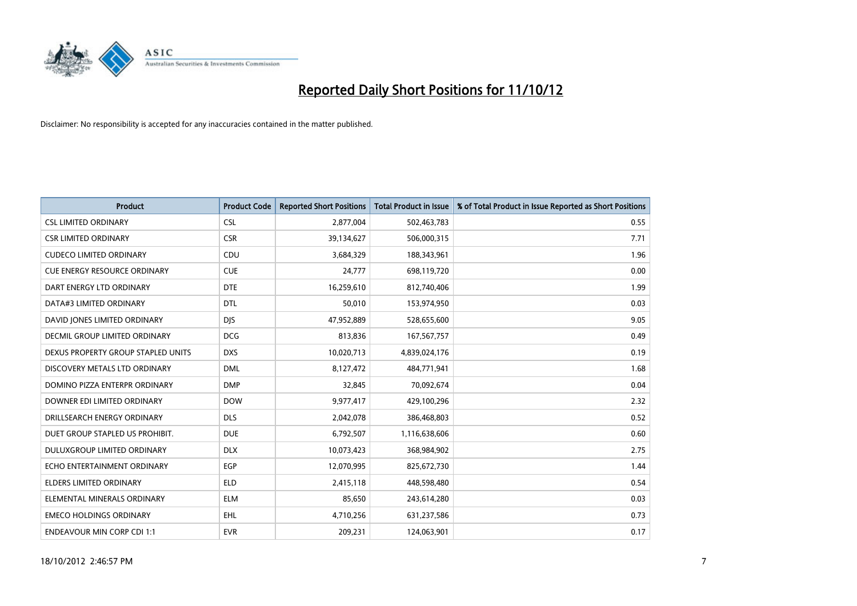

| <b>Product</b>                      | <b>Product Code</b> | <b>Reported Short Positions</b> | <b>Total Product in Issue</b> | % of Total Product in Issue Reported as Short Positions |
|-------------------------------------|---------------------|---------------------------------|-------------------------------|---------------------------------------------------------|
| <b>CSL LIMITED ORDINARY</b>         | <b>CSL</b>          | 2,877,004                       | 502,463,783                   | 0.55                                                    |
| <b>CSR LIMITED ORDINARY</b>         | <b>CSR</b>          | 39,134,627                      | 506,000,315                   | 7.71                                                    |
| <b>CUDECO LIMITED ORDINARY</b>      | CDU                 | 3,684,329                       | 188,343,961                   | 1.96                                                    |
| <b>CUE ENERGY RESOURCE ORDINARY</b> | <b>CUE</b>          | 24,777                          | 698,119,720                   | 0.00                                                    |
| DART ENERGY LTD ORDINARY            | <b>DTE</b>          | 16,259,610                      | 812,740,406                   | 1.99                                                    |
| DATA#3 LIMITED ORDINARY             | <b>DTL</b>          | 50,010                          | 153,974,950                   | 0.03                                                    |
| DAVID JONES LIMITED ORDINARY        | <b>DIS</b>          | 47,952,889                      | 528,655,600                   | 9.05                                                    |
| DECMIL GROUP LIMITED ORDINARY       | <b>DCG</b>          | 813,836                         | 167,567,757                   | 0.49                                                    |
| DEXUS PROPERTY GROUP STAPLED UNITS  | <b>DXS</b>          | 10,020,713                      | 4,839,024,176                 | 0.19                                                    |
| DISCOVERY METALS LTD ORDINARY       | <b>DML</b>          | 8,127,472                       | 484,771,941                   | 1.68                                                    |
| DOMINO PIZZA ENTERPR ORDINARY       | <b>DMP</b>          | 32,845                          | 70,092,674                    | 0.04                                                    |
| DOWNER EDI LIMITED ORDINARY         | <b>DOW</b>          | 9,977,417                       | 429,100,296                   | 2.32                                                    |
| DRILLSEARCH ENERGY ORDINARY         | <b>DLS</b>          | 2,042,078                       | 386,468,803                   | 0.52                                                    |
| DUET GROUP STAPLED US PROHIBIT.     | <b>DUE</b>          | 6,792,507                       | 1,116,638,606                 | 0.60                                                    |
| DULUXGROUP LIMITED ORDINARY         | <b>DLX</b>          | 10,073,423                      | 368,984,902                   | 2.75                                                    |
| ECHO ENTERTAINMENT ORDINARY         | EGP                 | 12,070,995                      | 825,672,730                   | 1.44                                                    |
| <b>ELDERS LIMITED ORDINARY</b>      | <b>ELD</b>          | 2,415,118                       | 448,598,480                   | 0.54                                                    |
| ELEMENTAL MINERALS ORDINARY         | <b>ELM</b>          | 85,650                          | 243,614,280                   | 0.03                                                    |
| <b>EMECO HOLDINGS ORDINARY</b>      | <b>EHL</b>          | 4,710,256                       | 631,237,586                   | 0.73                                                    |
| <b>ENDEAVOUR MIN CORP CDI 1:1</b>   | <b>EVR</b>          | 209.231                         | 124,063,901                   | 0.17                                                    |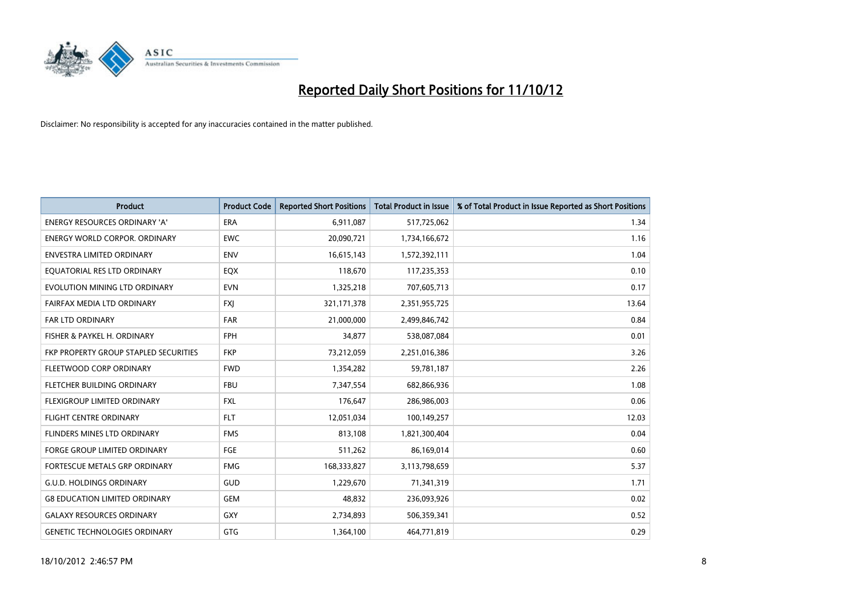

| <b>Product</b>                        | <b>Product Code</b> | <b>Reported Short Positions</b> | <b>Total Product in Issue</b> | % of Total Product in Issue Reported as Short Positions |
|---------------------------------------|---------------------|---------------------------------|-------------------------------|---------------------------------------------------------|
| <b>ENERGY RESOURCES ORDINARY 'A'</b>  | ERA                 | 6,911,087                       | 517,725,062                   | 1.34                                                    |
| <b>ENERGY WORLD CORPOR, ORDINARY</b>  | <b>EWC</b>          | 20,090,721                      | 1,734,166,672                 | 1.16                                                    |
| <b>ENVESTRA LIMITED ORDINARY</b>      | <b>ENV</b>          | 16,615,143                      | 1,572,392,111                 | 1.04                                                    |
| EQUATORIAL RES LTD ORDINARY           | <b>EQX</b>          | 118,670                         | 117,235,353                   | 0.10                                                    |
| EVOLUTION MINING LTD ORDINARY         | <b>EVN</b>          | 1,325,218                       | 707,605,713                   | 0.17                                                    |
| FAIRFAX MEDIA LTD ORDINARY            | <b>FXJ</b>          | 321, 171, 378                   | 2,351,955,725                 | 13.64                                                   |
| <b>FAR LTD ORDINARY</b>               | <b>FAR</b>          | 21,000,000                      | 2,499,846,742                 | 0.84                                                    |
| FISHER & PAYKEL H. ORDINARY           | <b>FPH</b>          | 34,877                          | 538,087,084                   | 0.01                                                    |
| FKP PROPERTY GROUP STAPLED SECURITIES | <b>FKP</b>          | 73,212,059                      | 2,251,016,386                 | 3.26                                                    |
| FLEETWOOD CORP ORDINARY               | <b>FWD</b>          | 1,354,282                       | 59,781,187                    | 2.26                                                    |
| FLETCHER BUILDING ORDINARY            | <b>FBU</b>          | 7,347,554                       | 682,866,936                   | 1.08                                                    |
| <b>FLEXIGROUP LIMITED ORDINARY</b>    | <b>FXL</b>          | 176,647                         | 286,986,003                   | 0.06                                                    |
| <b>FLIGHT CENTRE ORDINARY</b>         | <b>FLT</b>          | 12,051,034                      | 100,149,257                   | 12.03                                                   |
| FLINDERS MINES LTD ORDINARY           | <b>FMS</b>          | 813.108                         | 1,821,300,404                 | 0.04                                                    |
| FORGE GROUP LIMITED ORDINARY          | FGE                 | 511,262                         | 86,169,014                    | 0.60                                                    |
| FORTESCUE METALS GRP ORDINARY         | <b>FMG</b>          | 168,333,827                     | 3,113,798,659                 | 5.37                                                    |
| <b>G.U.D. HOLDINGS ORDINARY</b>       | <b>GUD</b>          | 1,229,670                       | 71,341,319                    | 1.71                                                    |
| <b>G8 EDUCATION LIMITED ORDINARY</b>  | GEM                 | 48,832                          | 236,093,926                   | 0.02                                                    |
| <b>GALAXY RESOURCES ORDINARY</b>      | GXY                 | 2,734,893                       | 506,359,341                   | 0.52                                                    |
| <b>GENETIC TECHNOLOGIES ORDINARY</b>  | <b>GTG</b>          | 1,364,100                       | 464,771,819                   | 0.29                                                    |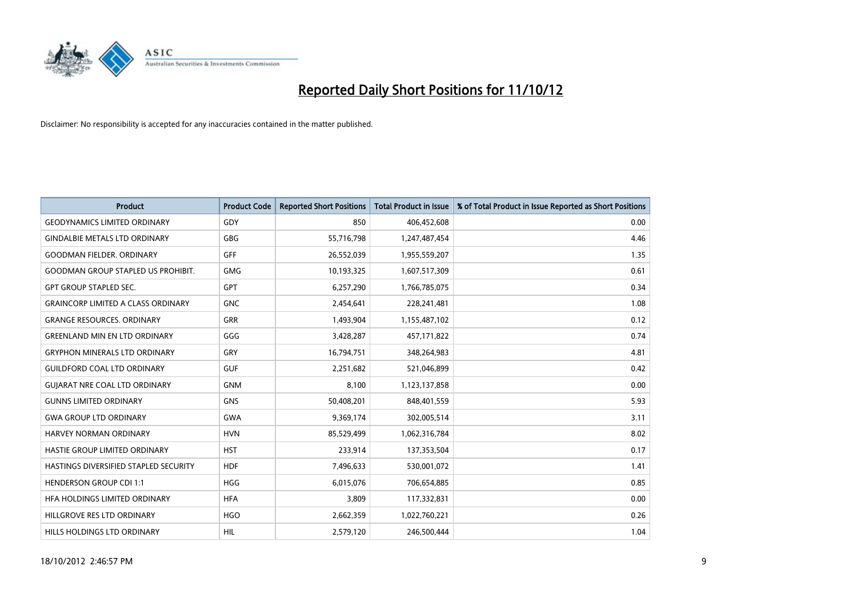

| <b>Product</b>                            | <b>Product Code</b> | <b>Reported Short Positions</b> | <b>Total Product in Issue</b> | % of Total Product in Issue Reported as Short Positions |
|-------------------------------------------|---------------------|---------------------------------|-------------------------------|---------------------------------------------------------|
| <b>GEODYNAMICS LIMITED ORDINARY</b>       | GDY                 | 850                             | 406,452,608                   | 0.00                                                    |
| <b>GINDALBIE METALS LTD ORDINARY</b>      | <b>GBG</b>          | 55,716,798                      | 1,247,487,454                 | 4.46                                                    |
| <b>GOODMAN FIELDER, ORDINARY</b>          | GFF                 | 26,552,039                      | 1,955,559,207                 | 1.35                                                    |
| <b>GOODMAN GROUP STAPLED US PROHIBIT.</b> | <b>GMG</b>          | 10,193,325                      | 1,607,517,309                 | 0.61                                                    |
| <b>GPT GROUP STAPLED SEC.</b>             | <b>GPT</b>          | 6,257,290                       | 1,766,785,075                 | 0.34                                                    |
| <b>GRAINCORP LIMITED A CLASS ORDINARY</b> | <b>GNC</b>          | 2,454,641                       | 228,241,481                   | 1.08                                                    |
| <b>GRANGE RESOURCES, ORDINARY</b>         | <b>GRR</b>          | 1,493,904                       | 1,155,487,102                 | 0.12                                                    |
| <b>GREENLAND MIN EN LTD ORDINARY</b>      | GGG                 | 3,428,287                       | 457,171,822                   | 0.74                                                    |
| <b>GRYPHON MINERALS LTD ORDINARY</b>      | GRY                 | 16,794,751                      | 348,264,983                   | 4.81                                                    |
| <b>GUILDFORD COAL LTD ORDINARY</b>        | <b>GUF</b>          | 2,251,682                       | 521,046,899                   | 0.42                                                    |
| <b>GUIARAT NRE COAL LTD ORDINARY</b>      | <b>GNM</b>          | 8,100                           | 1,123,137,858                 | 0.00                                                    |
| <b>GUNNS LIMITED ORDINARY</b>             | <b>GNS</b>          | 50,408,201                      | 848,401,559                   | 5.93                                                    |
| <b>GWA GROUP LTD ORDINARY</b>             | <b>GWA</b>          | 9,369,174                       | 302,005,514                   | 3.11                                                    |
| <b>HARVEY NORMAN ORDINARY</b>             | <b>HVN</b>          | 85,529,499                      | 1,062,316,784                 | 8.02                                                    |
| HASTIE GROUP LIMITED ORDINARY             | <b>HST</b>          | 233,914                         | 137,353,504                   | 0.17                                                    |
| HASTINGS DIVERSIFIED STAPLED SECURITY     | <b>HDF</b>          | 7,496,633                       | 530,001,072                   | 1.41                                                    |
| <b>HENDERSON GROUP CDI 1:1</b>            | <b>HGG</b>          | 6,015,076                       | 706,654,885                   | 0.85                                                    |
| HEA HOLDINGS LIMITED ORDINARY             | <b>HFA</b>          | 3,809                           | 117,332,831                   | 0.00                                                    |
| HILLGROVE RES LTD ORDINARY                | <b>HGO</b>          | 2,662,359                       | 1,022,760,221                 | 0.26                                                    |
| HILLS HOLDINGS LTD ORDINARY               | <b>HIL</b>          | 2,579,120                       | 246,500,444                   | 1.04                                                    |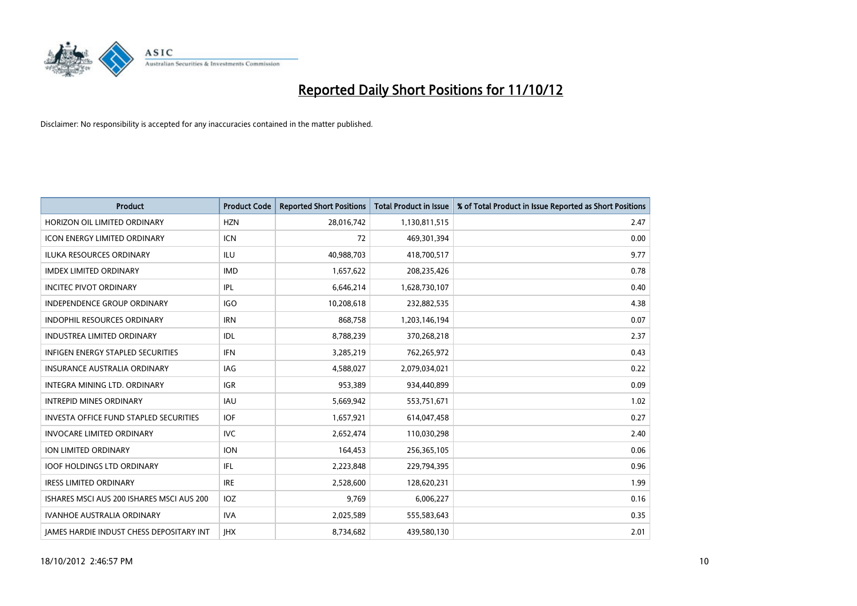

| <b>Product</b>                                  | <b>Product Code</b> | <b>Reported Short Positions</b> | <b>Total Product in Issue</b> | % of Total Product in Issue Reported as Short Positions |
|-------------------------------------------------|---------------------|---------------------------------|-------------------------------|---------------------------------------------------------|
| HORIZON OIL LIMITED ORDINARY                    | <b>HZN</b>          | 28,016,742                      | 1,130,811,515                 | 2.47                                                    |
| ICON ENERGY LIMITED ORDINARY                    | <b>ICN</b>          | 72                              | 469,301,394                   | 0.00                                                    |
| <b>ILUKA RESOURCES ORDINARY</b>                 | ILU                 | 40,988,703                      | 418,700,517                   | 9.77                                                    |
| <b>IMDEX LIMITED ORDINARY</b>                   | <b>IMD</b>          | 1,657,622                       | 208,235,426                   | 0.78                                                    |
| <b>INCITEC PIVOT ORDINARY</b>                   | <b>IPL</b>          | 6,646,214                       | 1,628,730,107                 | 0.40                                                    |
| <b>INDEPENDENCE GROUP ORDINARY</b>              | <b>IGO</b>          | 10,208,618                      | 232,882,535                   | 4.38                                                    |
| <b>INDOPHIL RESOURCES ORDINARY</b>              | <b>IRN</b>          | 868,758                         | 1,203,146,194                 | 0.07                                                    |
| INDUSTREA LIMITED ORDINARY                      | <b>IDL</b>          | 8,788,239                       | 370,268,218                   | 2.37                                                    |
| INFIGEN ENERGY STAPLED SECURITIES               | <b>IFN</b>          | 3,285,219                       | 762,265,972                   | 0.43                                                    |
| <b>INSURANCE AUSTRALIA ORDINARY</b>             | IAG                 | 4,588,027                       | 2,079,034,021                 | 0.22                                                    |
| INTEGRA MINING LTD. ORDINARY                    | <b>IGR</b>          | 953,389                         | 934,440,899                   | 0.09                                                    |
| <b>INTREPID MINES ORDINARY</b>                  | <b>IAU</b>          | 5,669,942                       | 553,751,671                   | 1.02                                                    |
| <b>INVESTA OFFICE FUND STAPLED SECURITIES</b>   | <b>IOF</b>          | 1,657,921                       | 614,047,458                   | 0.27                                                    |
| <b>INVOCARE LIMITED ORDINARY</b>                | <b>IVC</b>          | 2,652,474                       | 110,030,298                   | 2.40                                                    |
| <b>ION LIMITED ORDINARY</b>                     | <b>ION</b>          | 164,453                         | 256,365,105                   | 0.06                                                    |
| <b>IOOF HOLDINGS LTD ORDINARY</b>               | <b>IFL</b>          | 2,223,848                       | 229,794,395                   | 0.96                                                    |
| <b>IRESS LIMITED ORDINARY</b>                   | <b>IRE</b>          | 2,528,600                       | 128,620,231                   | 1.99                                                    |
| ISHARES MSCI AUS 200 ISHARES MSCI AUS 200       | IOZ                 | 9,769                           | 6,006,227                     | 0.16                                                    |
| <b>IVANHOE AUSTRALIA ORDINARY</b>               | <b>IVA</b>          | 2,025,589                       | 555,583,643                   | 0.35                                                    |
| <b>IAMES HARDIE INDUST CHESS DEPOSITARY INT</b> | <b>IHX</b>          | 8,734,682                       | 439,580,130                   | 2.01                                                    |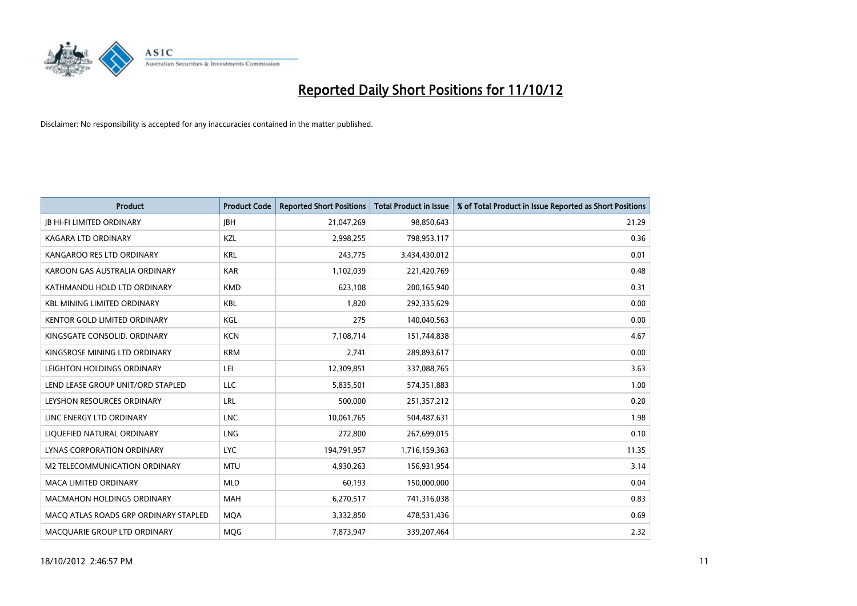

| <b>Product</b>                        | <b>Product Code</b> | <b>Reported Short Positions</b> | <b>Total Product in Issue</b> | % of Total Product in Issue Reported as Short Positions |
|---------------------------------------|---------------------|---------------------------------|-------------------------------|---------------------------------------------------------|
| <b>IB HI-FI LIMITED ORDINARY</b>      | <b>IBH</b>          | 21,047,269                      | 98,850,643                    | 21.29                                                   |
| KAGARA LTD ORDINARY                   | <b>KZL</b>          | 2,998,255                       | 798,953,117                   | 0.36                                                    |
| KANGAROO RES LTD ORDINARY             | <b>KRL</b>          | 243,775                         | 3,434,430,012                 | 0.01                                                    |
| KAROON GAS AUSTRALIA ORDINARY         | <b>KAR</b>          | 1,102,039                       | 221,420,769                   | 0.48                                                    |
| KATHMANDU HOLD LTD ORDINARY           | <b>KMD</b>          | 623,108                         | 200,165,940                   | 0.31                                                    |
| <b>KBL MINING LIMITED ORDINARY</b>    | <b>KBL</b>          | 1,820                           | 292,335,629                   | 0.00                                                    |
| <b>KENTOR GOLD LIMITED ORDINARY</b>   | KGL                 | 275                             | 140,040,563                   | 0.00                                                    |
| KINGSGATE CONSOLID. ORDINARY          | <b>KCN</b>          | 7,108,714                       | 151,744,838                   | 4.67                                                    |
| KINGSROSE MINING LTD ORDINARY         | <b>KRM</b>          | 2,741                           | 289,893,617                   | 0.00                                                    |
| LEIGHTON HOLDINGS ORDINARY            | LEI                 | 12,309,851                      | 337,088,765                   | 3.63                                                    |
| LEND LEASE GROUP UNIT/ORD STAPLED     | <b>LLC</b>          | 5,835,501                       | 574,351,883                   | 1.00                                                    |
| LEYSHON RESOURCES ORDINARY            | LRL                 | 500,000                         | 251,357,212                   | 0.20                                                    |
| LINC ENERGY LTD ORDINARY              | <b>LNC</b>          | 10,061,765                      | 504,487,631                   | 1.98                                                    |
| LIQUEFIED NATURAL ORDINARY            | <b>LNG</b>          | 272,800                         | 267,699,015                   | 0.10                                                    |
| <b>LYNAS CORPORATION ORDINARY</b>     | <b>LYC</b>          | 194,791,957                     | 1,716,159,363                 | 11.35                                                   |
| M2 TELECOMMUNICATION ORDINARY         | <b>MTU</b>          | 4,930,263                       | 156,931,954                   | 3.14                                                    |
| <b>MACA LIMITED ORDINARY</b>          | <b>MLD</b>          | 60,193                          | 150,000,000                   | 0.04                                                    |
| <b>MACMAHON HOLDINGS ORDINARY</b>     | <b>MAH</b>          | 6,270,517                       | 741,316,038                   | 0.83                                                    |
| MACQ ATLAS ROADS GRP ORDINARY STAPLED | <b>MQA</b>          | 3,332,850                       | 478,531,436                   | 0.69                                                    |
| MACQUARIE GROUP LTD ORDINARY          | <b>MOG</b>          | 7,873,947                       | 339,207,464                   | 2.32                                                    |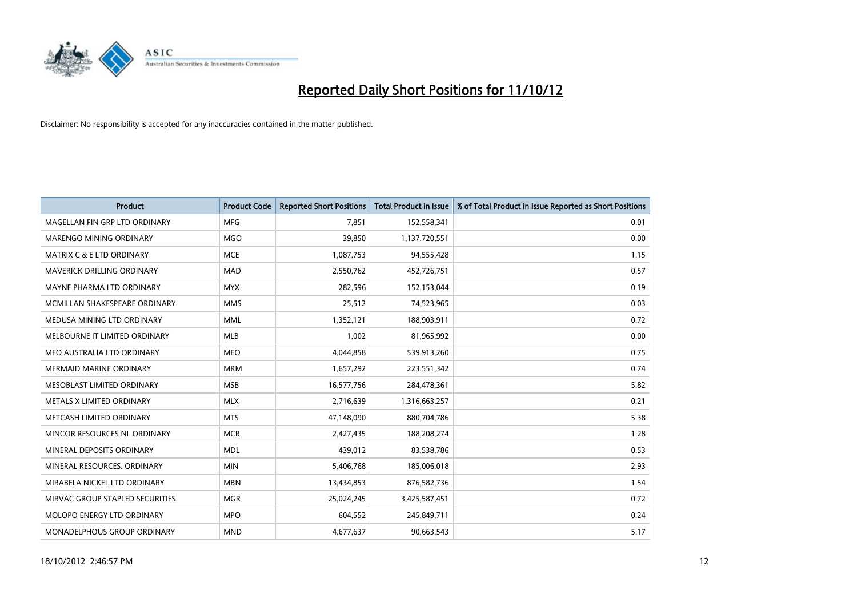

| <b>Product</b>                       | <b>Product Code</b> | <b>Reported Short Positions</b> | <b>Total Product in Issue</b> | % of Total Product in Issue Reported as Short Positions |
|--------------------------------------|---------------------|---------------------------------|-------------------------------|---------------------------------------------------------|
| MAGELLAN FIN GRP LTD ORDINARY        | <b>MFG</b>          | 7.851                           | 152,558,341                   | 0.01                                                    |
| MARENGO MINING ORDINARY              | <b>MGO</b>          | 39,850                          | 1,137,720,551                 | 0.00                                                    |
| <b>MATRIX C &amp; E LTD ORDINARY</b> | <b>MCE</b>          | 1,087,753                       | 94,555,428                    | 1.15                                                    |
| MAVERICK DRILLING ORDINARY           | <b>MAD</b>          | 2,550,762                       | 452,726,751                   | 0.57                                                    |
| MAYNE PHARMA LTD ORDINARY            | <b>MYX</b>          | 282,596                         | 152,153,044                   | 0.19                                                    |
| MCMILLAN SHAKESPEARE ORDINARY        | <b>MMS</b>          | 25,512                          | 74,523,965                    | 0.03                                                    |
| MEDUSA MINING LTD ORDINARY           | <b>MML</b>          | 1,352,121                       | 188,903,911                   | 0.72                                                    |
| MELBOURNE IT LIMITED ORDINARY        | <b>MLB</b>          | 1,002                           | 81,965,992                    | 0.00                                                    |
| MEO AUSTRALIA LTD ORDINARY           | <b>MEO</b>          | 4,044,858                       | 539,913,260                   | 0.75                                                    |
| <b>MERMAID MARINE ORDINARY</b>       | <b>MRM</b>          | 1,657,292                       | 223,551,342                   | 0.74                                                    |
| MESOBLAST LIMITED ORDINARY           | <b>MSB</b>          | 16,577,756                      | 284,478,361                   | 5.82                                                    |
| METALS X LIMITED ORDINARY            | <b>MLX</b>          | 2,716,639                       | 1,316,663,257                 | 0.21                                                    |
| METCASH LIMITED ORDINARY             | <b>MTS</b>          | 47,148,090                      | 880,704,786                   | 5.38                                                    |
| MINCOR RESOURCES NL ORDINARY         | <b>MCR</b>          | 2,427,435                       | 188,208,274                   | 1.28                                                    |
| MINERAL DEPOSITS ORDINARY            | <b>MDL</b>          | 439,012                         | 83,538,786                    | 0.53                                                    |
| MINERAL RESOURCES. ORDINARY          | <b>MIN</b>          | 5,406,768                       | 185,006,018                   | 2.93                                                    |
| MIRABELA NICKEL LTD ORDINARY         | <b>MBN</b>          | 13,434,853                      | 876,582,736                   | 1.54                                                    |
| MIRVAC GROUP STAPLED SECURITIES      | <b>MGR</b>          | 25,024,245                      | 3,425,587,451                 | 0.72                                                    |
| MOLOPO ENERGY LTD ORDINARY           | <b>MPO</b>          | 604,552                         | 245,849,711                   | 0.24                                                    |
| MONADELPHOUS GROUP ORDINARY          | <b>MND</b>          | 4,677,637                       | 90,663,543                    | 5.17                                                    |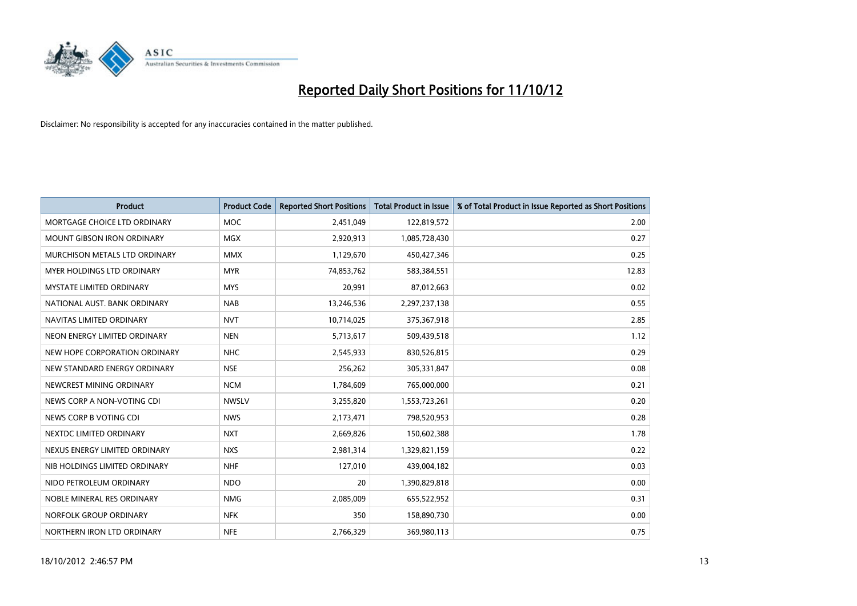

| <b>Product</b>                    | <b>Product Code</b> | <b>Reported Short Positions</b> | <b>Total Product in Issue</b> | % of Total Product in Issue Reported as Short Positions |
|-----------------------------------|---------------------|---------------------------------|-------------------------------|---------------------------------------------------------|
| MORTGAGE CHOICE LTD ORDINARY      | <b>MOC</b>          | 2,451,049                       | 122,819,572                   | 2.00                                                    |
| <b>MOUNT GIBSON IRON ORDINARY</b> | <b>MGX</b>          | 2,920,913                       | 1,085,728,430                 | 0.27                                                    |
| MURCHISON METALS LTD ORDINARY     | <b>MMX</b>          | 1,129,670                       | 450,427,346                   | 0.25                                                    |
| <b>MYER HOLDINGS LTD ORDINARY</b> | <b>MYR</b>          | 74,853,762                      | 583,384,551                   | 12.83                                                   |
| <b>MYSTATE LIMITED ORDINARY</b>   | <b>MYS</b>          | 20,991                          | 87,012,663                    | 0.02                                                    |
| NATIONAL AUST, BANK ORDINARY      | <b>NAB</b>          | 13,246,536                      | 2,297,237,138                 | 0.55                                                    |
| NAVITAS LIMITED ORDINARY          | <b>NVT</b>          | 10,714,025                      | 375,367,918                   | 2.85                                                    |
| NEON ENERGY LIMITED ORDINARY      | <b>NEN</b>          | 5,713,617                       | 509,439,518                   | 1.12                                                    |
| NEW HOPE CORPORATION ORDINARY     | <b>NHC</b>          | 2,545,933                       | 830,526,815                   | 0.29                                                    |
| NEW STANDARD ENERGY ORDINARY      | <b>NSE</b>          | 256,262                         | 305,331,847                   | 0.08                                                    |
| NEWCREST MINING ORDINARY          | <b>NCM</b>          | 1,784,609                       | 765,000,000                   | 0.21                                                    |
| NEWS CORP A NON-VOTING CDI        | <b>NWSLV</b>        | 3,255,820                       | 1,553,723,261                 | 0.20                                                    |
| NEWS CORP B VOTING CDI            | <b>NWS</b>          | 2,173,471                       | 798,520,953                   | 0.28                                                    |
| NEXTDC LIMITED ORDINARY           | <b>NXT</b>          | 2,669,826                       | 150,602,388                   | 1.78                                                    |
| NEXUS ENERGY LIMITED ORDINARY     | <b>NXS</b>          | 2,981,314                       | 1,329,821,159                 | 0.22                                                    |
| NIB HOLDINGS LIMITED ORDINARY     | <b>NHF</b>          | 127,010                         | 439,004,182                   | 0.03                                                    |
| NIDO PETROLEUM ORDINARY           | <b>NDO</b>          | 20                              | 1,390,829,818                 | 0.00                                                    |
| NOBLE MINERAL RES ORDINARY        | <b>NMG</b>          | 2,085,009                       | 655,522,952                   | 0.31                                                    |
| NORFOLK GROUP ORDINARY            | <b>NFK</b>          | 350                             | 158,890,730                   | 0.00                                                    |
| NORTHERN IRON LTD ORDINARY        | <b>NFE</b>          | 2,766,329                       | 369,980,113                   | 0.75                                                    |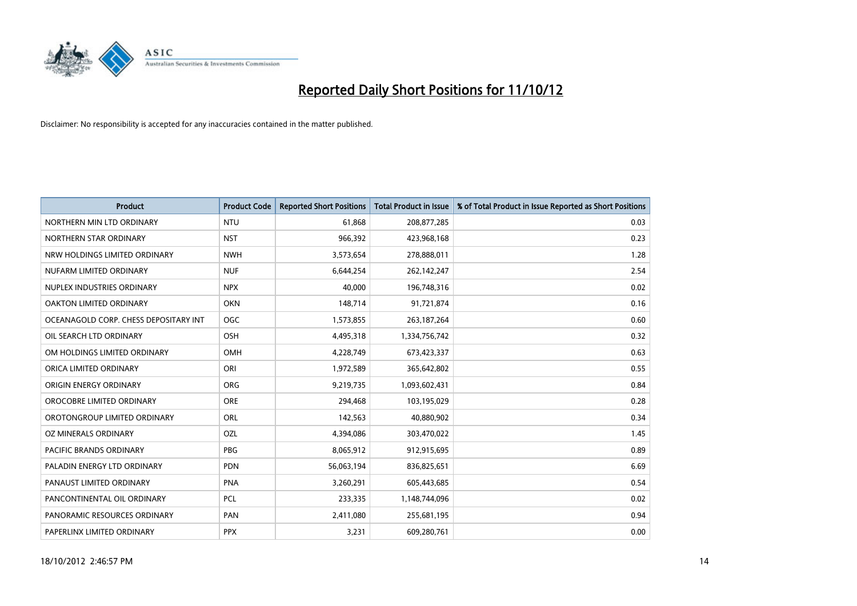

| <b>Product</b>                        | <b>Product Code</b> | <b>Reported Short Positions</b> | <b>Total Product in Issue</b> | % of Total Product in Issue Reported as Short Positions |
|---------------------------------------|---------------------|---------------------------------|-------------------------------|---------------------------------------------------------|
| NORTHERN MIN LTD ORDINARY             | <b>NTU</b>          | 61,868                          | 208,877,285                   | 0.03                                                    |
| NORTHERN STAR ORDINARY                | <b>NST</b>          | 966,392                         | 423,968,168                   | 0.23                                                    |
| NRW HOLDINGS LIMITED ORDINARY         | <b>NWH</b>          | 3,573,654                       | 278,888,011                   | 1.28                                                    |
| NUFARM LIMITED ORDINARY               | <b>NUF</b>          | 6,644,254                       | 262,142,247                   | 2.54                                                    |
| NUPLEX INDUSTRIES ORDINARY            | <b>NPX</b>          | 40,000                          | 196,748,316                   | 0.02                                                    |
| OAKTON LIMITED ORDINARY               | <b>OKN</b>          | 148,714                         | 91,721,874                    | 0.16                                                    |
| OCEANAGOLD CORP. CHESS DEPOSITARY INT | <b>OGC</b>          | 1,573,855                       | 263, 187, 264                 | 0.60                                                    |
| OIL SEARCH LTD ORDINARY               | OSH                 | 4,495,318                       | 1,334,756,742                 | 0.32                                                    |
| OM HOLDINGS LIMITED ORDINARY          | OMH                 | 4,228,749                       | 673,423,337                   | 0.63                                                    |
| ORICA LIMITED ORDINARY                | ORI                 | 1,972,589                       | 365,642,802                   | 0.55                                                    |
| ORIGIN ENERGY ORDINARY                | <b>ORG</b>          | 9,219,735                       | 1,093,602,431                 | 0.84                                                    |
| OROCOBRE LIMITED ORDINARY             | <b>ORE</b>          | 294,468                         | 103,195,029                   | 0.28                                                    |
| OROTONGROUP LIMITED ORDINARY          | ORL                 | 142,563                         | 40,880,902                    | 0.34                                                    |
| OZ MINERALS ORDINARY                  | OZL                 | 4,394,086                       | 303,470,022                   | 1.45                                                    |
| <b>PACIFIC BRANDS ORDINARY</b>        | <b>PBG</b>          | 8,065,912                       | 912,915,695                   | 0.89                                                    |
| PALADIN ENERGY LTD ORDINARY           | <b>PDN</b>          | 56,063,194                      | 836,825,651                   | 6.69                                                    |
| PANAUST LIMITED ORDINARY              | <b>PNA</b>          | 3,260,291                       | 605,443,685                   | 0.54                                                    |
| PANCONTINENTAL OIL ORDINARY           | <b>PCL</b>          | 233,335                         | 1,148,744,096                 | 0.02                                                    |
| PANORAMIC RESOURCES ORDINARY          | PAN                 | 2,411,080                       | 255,681,195                   | 0.94                                                    |
| PAPERLINX LIMITED ORDINARY            | <b>PPX</b>          | 3,231                           | 609,280,761                   | 0.00                                                    |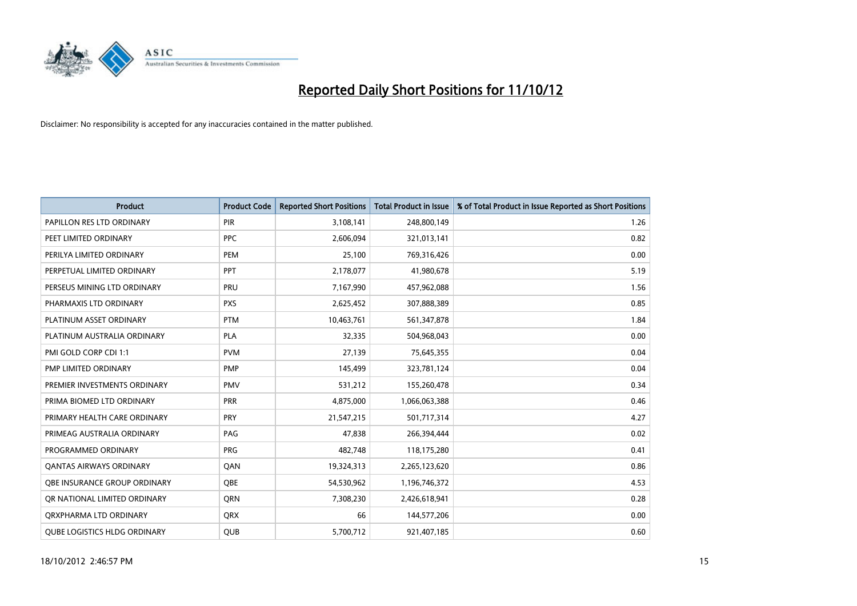

| <b>Product</b>                      | <b>Product Code</b> | <b>Reported Short Positions</b> | <b>Total Product in Issue</b> | % of Total Product in Issue Reported as Short Positions |
|-------------------------------------|---------------------|---------------------------------|-------------------------------|---------------------------------------------------------|
| PAPILLON RES LTD ORDINARY           | PIR                 | 3,108,141                       | 248,800,149                   | 1.26                                                    |
| PEET LIMITED ORDINARY               | <b>PPC</b>          | 2,606,094                       | 321,013,141                   | 0.82                                                    |
| PERILYA LIMITED ORDINARY            | PEM                 | 25,100                          | 769,316,426                   | 0.00                                                    |
| PERPETUAL LIMITED ORDINARY          | <b>PPT</b>          | 2,178,077                       | 41,980,678                    | 5.19                                                    |
| PERSEUS MINING LTD ORDINARY         | PRU                 | 7,167,990                       | 457,962,088                   | 1.56                                                    |
| PHARMAXIS LTD ORDINARY              | <b>PXS</b>          | 2,625,452                       | 307,888,389                   | 0.85                                                    |
| PLATINUM ASSET ORDINARY             | <b>PTM</b>          | 10,463,761                      | 561,347,878                   | 1.84                                                    |
| PLATINUM AUSTRALIA ORDINARY         | <b>PLA</b>          | 32,335                          | 504,968,043                   | 0.00                                                    |
| PMI GOLD CORP CDI 1:1               | <b>PVM</b>          | 27,139                          | 75,645,355                    | 0.04                                                    |
| PMP LIMITED ORDINARY                | <b>PMP</b>          | 145,499                         | 323,781,124                   | 0.04                                                    |
| PREMIER INVESTMENTS ORDINARY        | <b>PMV</b>          | 531,212                         | 155,260,478                   | 0.34                                                    |
| PRIMA BIOMED LTD ORDINARY           | PRR                 | 4,875,000                       | 1,066,063,388                 | 0.46                                                    |
| PRIMARY HEALTH CARE ORDINARY        | <b>PRY</b>          | 21,547,215                      | 501,717,314                   | 4.27                                                    |
| PRIMEAG AUSTRALIA ORDINARY          | PAG                 | 47,838                          | 266,394,444                   | 0.02                                                    |
| PROGRAMMED ORDINARY                 | <b>PRG</b>          | 482,748                         | 118,175,280                   | 0.41                                                    |
| <b>QANTAS AIRWAYS ORDINARY</b>      | QAN                 | 19,324,313                      | 2,265,123,620                 | 0.86                                                    |
| <b>OBE INSURANCE GROUP ORDINARY</b> | <b>OBE</b>          | 54,530,962                      | 1,196,746,372                 | 4.53                                                    |
| OR NATIONAL LIMITED ORDINARY        | <b>ORN</b>          | 7,308,230                       | 2,426,618,941                 | 0.28                                                    |
| ORXPHARMA LTD ORDINARY              | <b>ORX</b>          | 66                              | 144,577,206                   | 0.00                                                    |
| <b>OUBE LOGISTICS HLDG ORDINARY</b> | <b>QUB</b>          | 5,700,712                       | 921,407,185                   | 0.60                                                    |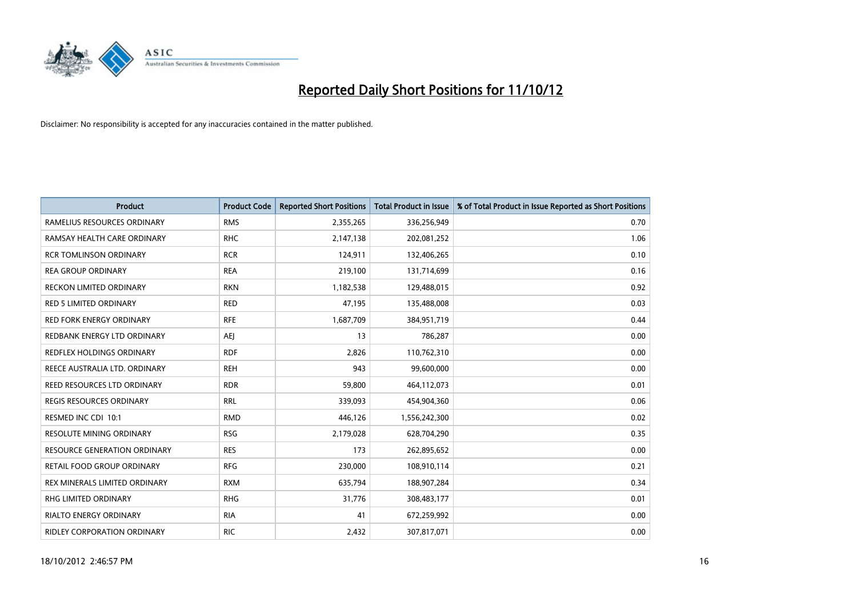

| <b>Product</b>                      | <b>Product Code</b> | <b>Reported Short Positions</b> | <b>Total Product in Issue</b> | % of Total Product in Issue Reported as Short Positions |
|-------------------------------------|---------------------|---------------------------------|-------------------------------|---------------------------------------------------------|
| RAMELIUS RESOURCES ORDINARY         | <b>RMS</b>          | 2,355,265                       | 336,256,949                   | 0.70                                                    |
| RAMSAY HEALTH CARE ORDINARY         | <b>RHC</b>          | 2,147,138                       | 202,081,252                   | 1.06                                                    |
| <b>RCR TOMLINSON ORDINARY</b>       | <b>RCR</b>          | 124,911                         | 132,406,265                   | 0.10                                                    |
| <b>REA GROUP ORDINARY</b>           | <b>REA</b>          | 219,100                         | 131,714,699                   | 0.16                                                    |
| <b>RECKON LIMITED ORDINARY</b>      | <b>RKN</b>          | 1,182,538                       | 129,488,015                   | 0.92                                                    |
| <b>RED 5 LIMITED ORDINARY</b>       | <b>RED</b>          | 47,195                          | 135,488,008                   | 0.03                                                    |
| <b>RED FORK ENERGY ORDINARY</b>     | <b>RFE</b>          | 1,687,709                       | 384,951,719                   | 0.44                                                    |
| REDBANK ENERGY LTD ORDINARY         | AEJ                 | 13                              | 786,287                       | 0.00                                                    |
| REDFLEX HOLDINGS ORDINARY           | <b>RDF</b>          | 2,826                           | 110,762,310                   | 0.00                                                    |
| REECE AUSTRALIA LTD. ORDINARY       | <b>REH</b>          | 943                             | 99,600,000                    | 0.00                                                    |
| REED RESOURCES LTD ORDINARY         | <b>RDR</b>          | 59,800                          | 464,112,073                   | 0.01                                                    |
| REGIS RESOURCES ORDINARY            | <b>RRL</b>          | 339,093                         | 454,904,360                   | 0.06                                                    |
| RESMED INC CDI 10:1                 | <b>RMD</b>          | 446,126                         | 1,556,242,300                 | 0.02                                                    |
| <b>RESOLUTE MINING ORDINARY</b>     | <b>RSG</b>          | 2,179,028                       | 628,704,290                   | 0.35                                                    |
| <b>RESOURCE GENERATION ORDINARY</b> | <b>RES</b>          | 173                             | 262,895,652                   | 0.00                                                    |
| RETAIL FOOD GROUP ORDINARY          | <b>RFG</b>          | 230,000                         | 108,910,114                   | 0.21                                                    |
| REX MINERALS LIMITED ORDINARY       | <b>RXM</b>          | 635,794                         | 188,907,284                   | 0.34                                                    |
| RHG LIMITED ORDINARY                | <b>RHG</b>          | 31,776                          | 308,483,177                   | 0.01                                                    |
| <b>RIALTO ENERGY ORDINARY</b>       | <b>RIA</b>          | 41                              | 672,259,992                   | 0.00                                                    |
| RIDLEY CORPORATION ORDINARY         | <b>RIC</b>          | 2,432                           | 307,817,071                   | 0.00                                                    |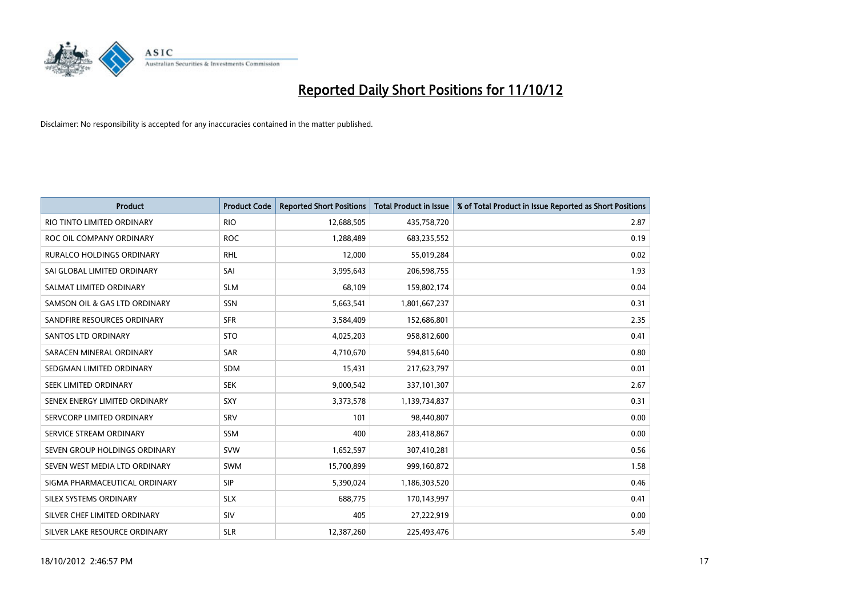

| <b>Product</b>                   | <b>Product Code</b> | <b>Reported Short Positions</b> | <b>Total Product in Issue</b> | % of Total Product in Issue Reported as Short Positions |
|----------------------------------|---------------------|---------------------------------|-------------------------------|---------------------------------------------------------|
| RIO TINTO LIMITED ORDINARY       | <b>RIO</b>          | 12,688,505                      | 435,758,720                   | 2.87                                                    |
| ROC OIL COMPANY ORDINARY         | <b>ROC</b>          | 1,288,489                       | 683,235,552                   | 0.19                                                    |
| <b>RURALCO HOLDINGS ORDINARY</b> | <b>RHL</b>          | 12,000                          | 55,019,284                    | 0.02                                                    |
| SAI GLOBAL LIMITED ORDINARY      | SAI                 | 3,995,643                       | 206,598,755                   | 1.93                                                    |
| SALMAT LIMITED ORDINARY          | <b>SLM</b>          | 68.109                          | 159,802,174                   | 0.04                                                    |
| SAMSON OIL & GAS LTD ORDINARY    | SSN                 | 5,663,541                       | 1,801,667,237                 | 0.31                                                    |
| SANDFIRE RESOURCES ORDINARY      | <b>SFR</b>          | 3,584,409                       | 152,686,801                   | 2.35                                                    |
| <b>SANTOS LTD ORDINARY</b>       | <b>STO</b>          | 4,025,203                       | 958,812,600                   | 0.41                                                    |
| SARACEN MINERAL ORDINARY         | <b>SAR</b>          | 4,710,670                       | 594,815,640                   | 0.80                                                    |
| SEDGMAN LIMITED ORDINARY         | <b>SDM</b>          | 15,431                          | 217,623,797                   | 0.01                                                    |
| SEEK LIMITED ORDINARY            | <b>SEK</b>          | 9,000,542                       | 337,101,307                   | 2.67                                                    |
| SENEX ENERGY LIMITED ORDINARY    | <b>SXY</b>          | 3,373,578                       | 1,139,734,837                 | 0.31                                                    |
| SERVCORP LIMITED ORDINARY        | SRV                 | 101                             | 98,440,807                    | 0.00                                                    |
| SERVICE STREAM ORDINARY          | <b>SSM</b>          | 400                             | 283,418,867                   | 0.00                                                    |
| SEVEN GROUP HOLDINGS ORDINARY    | <b>SVW</b>          | 1,652,597                       | 307,410,281                   | 0.56                                                    |
| SEVEN WEST MEDIA LTD ORDINARY    | <b>SWM</b>          | 15,700,899                      | 999,160,872                   | 1.58                                                    |
| SIGMA PHARMACEUTICAL ORDINARY    | <b>SIP</b>          | 5,390,024                       | 1,186,303,520                 | 0.46                                                    |
| SILEX SYSTEMS ORDINARY           | <b>SLX</b>          | 688,775                         | 170,143,997                   | 0.41                                                    |
| SILVER CHEF LIMITED ORDINARY     | SIV                 | 405                             | 27,222,919                    | 0.00                                                    |
| SILVER LAKE RESOURCE ORDINARY    | <b>SLR</b>          | 12,387,260                      | 225.493.476                   | 5.49                                                    |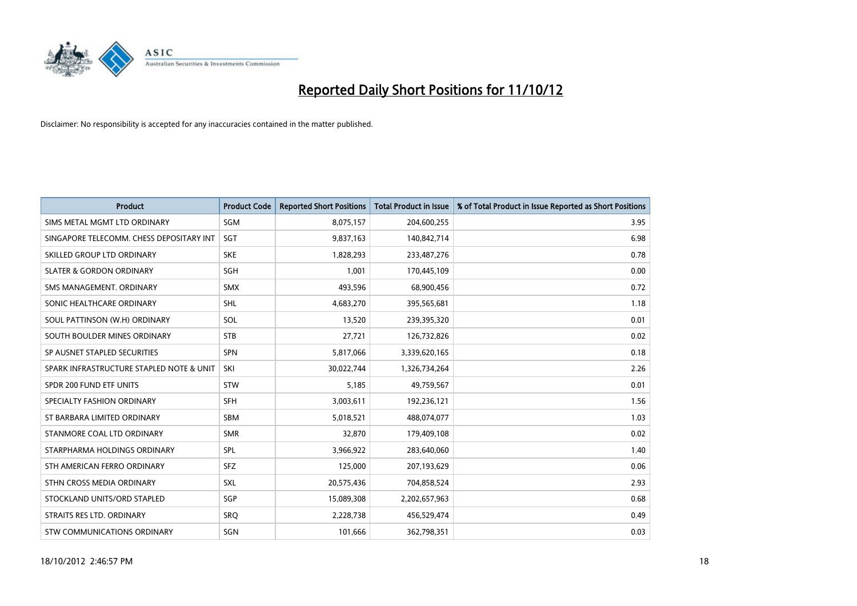

| <b>Product</b>                           | <b>Product Code</b> | <b>Reported Short Positions</b> | <b>Total Product in Issue</b> | % of Total Product in Issue Reported as Short Positions |
|------------------------------------------|---------------------|---------------------------------|-------------------------------|---------------------------------------------------------|
| SIMS METAL MGMT LTD ORDINARY             | <b>SGM</b>          | 8,075,157                       | 204,600,255                   | 3.95                                                    |
| SINGAPORE TELECOMM. CHESS DEPOSITARY INT | <b>SGT</b>          | 9,837,163                       | 140,842,714                   | 6.98                                                    |
| SKILLED GROUP LTD ORDINARY               | <b>SKE</b>          | 1,828,293                       | 233,487,276                   | 0.78                                                    |
| <b>SLATER &amp; GORDON ORDINARY</b>      | <b>SGH</b>          | 1,001                           | 170,445,109                   | 0.00                                                    |
| SMS MANAGEMENT, ORDINARY                 | <b>SMX</b>          | 493,596                         | 68,900,456                    | 0.72                                                    |
| SONIC HEALTHCARE ORDINARY                | <b>SHL</b>          | 4,683,270                       | 395,565,681                   | 1.18                                                    |
| SOUL PATTINSON (W.H) ORDINARY            | SOL                 | 13,520                          | 239,395,320                   | 0.01                                                    |
| SOUTH BOULDER MINES ORDINARY             | <b>STB</b>          | 27,721                          | 126,732,826                   | 0.02                                                    |
| SP AUSNET STAPLED SECURITIES             | <b>SPN</b>          | 5,817,066                       | 3,339,620,165                 | 0.18                                                    |
| SPARK INFRASTRUCTURE STAPLED NOTE & UNIT | SKI                 | 30,022,744                      | 1,326,734,264                 | 2.26                                                    |
| SPDR 200 FUND ETF UNITS                  | <b>STW</b>          | 5,185                           | 49,759,567                    | 0.01                                                    |
| SPECIALTY FASHION ORDINARY               | <b>SFH</b>          | 3,003,611                       | 192,236,121                   | 1.56                                                    |
| ST BARBARA LIMITED ORDINARY              | <b>SBM</b>          | 5,018,521                       | 488,074,077                   | 1.03                                                    |
| STANMORE COAL LTD ORDINARY               | <b>SMR</b>          | 32,870                          | 179,409,108                   | 0.02                                                    |
| STARPHARMA HOLDINGS ORDINARY             | SPL                 | 3,966,922                       | 283,640,060                   | 1.40                                                    |
| STH AMERICAN FERRO ORDINARY              | <b>SFZ</b>          | 125,000                         | 207,193,629                   | 0.06                                                    |
| STHN CROSS MEDIA ORDINARY                | <b>SXL</b>          | 20,575,436                      | 704,858,524                   | 2.93                                                    |
| STOCKLAND UNITS/ORD STAPLED              | SGP                 | 15,089,308                      | 2,202,657,963                 | 0.68                                                    |
| STRAITS RES LTD. ORDINARY                | SRO                 | 2,228,738                       | 456,529,474                   | 0.49                                                    |
| STW COMMUNICATIONS ORDINARY              | SGN                 | 101.666                         | 362,798,351                   | 0.03                                                    |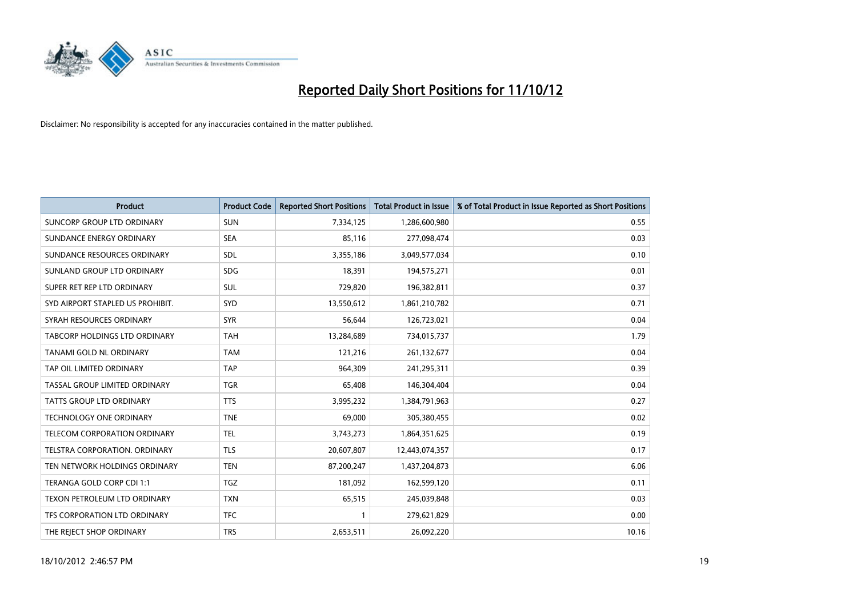

| <b>Product</b>                       | <b>Product Code</b> | <b>Reported Short Positions</b> | <b>Total Product in Issue</b> | % of Total Product in Issue Reported as Short Positions |
|--------------------------------------|---------------------|---------------------------------|-------------------------------|---------------------------------------------------------|
| SUNCORP GROUP LTD ORDINARY           | <b>SUN</b>          | 7,334,125                       | 1,286,600,980                 | 0.55                                                    |
| SUNDANCE ENERGY ORDINARY             | <b>SEA</b>          | 85,116                          | 277,098,474                   | 0.03                                                    |
| SUNDANCE RESOURCES ORDINARY          | <b>SDL</b>          | 3,355,186                       | 3,049,577,034                 | 0.10                                                    |
| SUNLAND GROUP LTD ORDINARY           | <b>SDG</b>          | 18,391                          | 194,575,271                   | 0.01                                                    |
| SUPER RET REP LTD ORDINARY           | <b>SUL</b>          | 729,820                         | 196,382,811                   | 0.37                                                    |
| SYD AIRPORT STAPLED US PROHIBIT.     | SYD                 | 13,550,612                      | 1,861,210,782                 | 0.71                                                    |
| SYRAH RESOURCES ORDINARY             | <b>SYR</b>          | 56,644                          | 126,723,021                   | 0.04                                                    |
| TABCORP HOLDINGS LTD ORDINARY        | <b>TAH</b>          | 13,284,689                      | 734,015,737                   | 1.79                                                    |
| TANAMI GOLD NL ORDINARY              | <b>TAM</b>          | 121,216                         | 261,132,677                   | 0.04                                                    |
| TAP OIL LIMITED ORDINARY             | <b>TAP</b>          | 964,309                         | 241,295,311                   | 0.39                                                    |
| TASSAL GROUP LIMITED ORDINARY        | <b>TGR</b>          | 65,408                          | 146,304,404                   | 0.04                                                    |
| <b>TATTS GROUP LTD ORDINARY</b>      | <b>TTS</b>          | 3,995,232                       | 1,384,791,963                 | 0.27                                                    |
| TECHNOLOGY ONE ORDINARY              | <b>TNE</b>          | 69,000                          | 305,380,455                   | 0.02                                                    |
| TELECOM CORPORATION ORDINARY         | <b>TEL</b>          | 3,743,273                       | 1,864,351,625                 | 0.19                                                    |
| <b>TELSTRA CORPORATION, ORDINARY</b> | <b>TLS</b>          | 20,607,807                      | 12,443,074,357                | 0.17                                                    |
| TEN NETWORK HOLDINGS ORDINARY        | <b>TEN</b>          | 87,200,247                      | 1,437,204,873                 | 6.06                                                    |
| TERANGA GOLD CORP CDI 1:1            | <b>TGZ</b>          | 181,092                         | 162,599,120                   | 0.11                                                    |
| TEXON PETROLEUM LTD ORDINARY         | <b>TXN</b>          | 65,515                          | 245,039,848                   | 0.03                                                    |
| <b>TFS CORPORATION LTD ORDINARY</b>  | <b>TFC</b>          |                                 | 279,621,829                   | 0.00                                                    |
| THE REJECT SHOP ORDINARY             | <b>TRS</b>          | 2,653,511                       | 26,092,220                    | 10.16                                                   |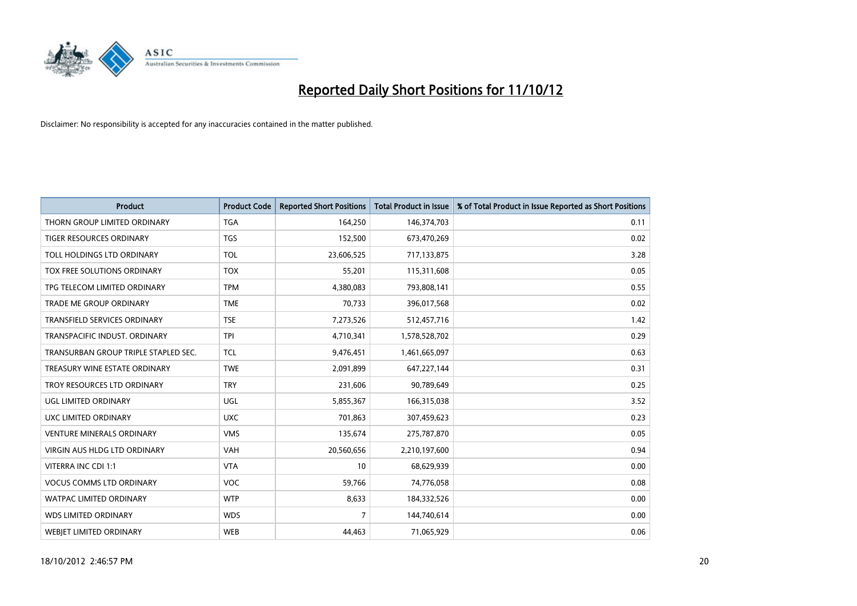

| <b>Product</b>                       | <b>Product Code</b> | <b>Reported Short Positions</b> | <b>Total Product in Issue</b> | % of Total Product in Issue Reported as Short Positions |
|--------------------------------------|---------------------|---------------------------------|-------------------------------|---------------------------------------------------------|
| THORN GROUP LIMITED ORDINARY         | <b>TGA</b>          | 164,250                         | 146,374,703                   | 0.11                                                    |
| TIGER RESOURCES ORDINARY             | <b>TGS</b>          | 152,500                         | 673,470,269                   | 0.02                                                    |
| TOLL HOLDINGS LTD ORDINARY           | <b>TOL</b>          | 23,606,525                      | 717,133,875                   | 3.28                                                    |
| TOX FREE SOLUTIONS ORDINARY          | <b>TOX</b>          | 55,201                          | 115,311,608                   | 0.05                                                    |
| TPG TELECOM LIMITED ORDINARY         | <b>TPM</b>          | 4,380,083                       | 793,808,141                   | 0.55                                                    |
| TRADE ME GROUP ORDINARY              | <b>TME</b>          | 70,733                          | 396,017,568                   | 0.02                                                    |
| <b>TRANSFIELD SERVICES ORDINARY</b>  | <b>TSE</b>          | 7,273,526                       | 512,457,716                   | 1.42                                                    |
| TRANSPACIFIC INDUST, ORDINARY        | <b>TPI</b>          | 4,710,341                       | 1,578,528,702                 | 0.29                                                    |
| TRANSURBAN GROUP TRIPLE STAPLED SEC. | <b>TCL</b>          | 9,476,451                       | 1,461,665,097                 | 0.63                                                    |
| TREASURY WINE ESTATE ORDINARY        | <b>TWE</b>          | 2,091,899                       | 647,227,144                   | 0.31                                                    |
| TROY RESOURCES LTD ORDINARY          | <b>TRY</b>          | 231,606                         | 90,789,649                    | 0.25                                                    |
| UGL LIMITED ORDINARY                 | UGL                 | 5,855,367                       | 166,315,038                   | 3.52                                                    |
| UXC LIMITED ORDINARY                 | <b>UXC</b>          | 701,863                         | 307,459,623                   | 0.23                                                    |
| <b>VENTURE MINERALS ORDINARY</b>     | <b>VMS</b>          | 135,674                         | 275,787,870                   | 0.05                                                    |
| <b>VIRGIN AUS HLDG LTD ORDINARY</b>  | <b>VAH</b>          | 20,560,656                      | 2,210,197,600                 | 0.94                                                    |
| VITERRA INC CDI 1:1                  | <b>VTA</b>          | 10                              | 68,629,939                    | 0.00                                                    |
| <b>VOCUS COMMS LTD ORDINARY</b>      | <b>VOC</b>          | 59,766                          | 74,776,058                    | 0.08                                                    |
| WATPAC LIMITED ORDINARY              | <b>WTP</b>          | 8,633                           | 184,332,526                   | 0.00                                                    |
| <b>WDS LIMITED ORDINARY</b>          | <b>WDS</b>          | 7                               | 144,740,614                   | 0.00                                                    |
| <b>WEBIET LIMITED ORDINARY</b>       | <b>WEB</b>          | 44,463                          | 71,065,929                    | 0.06                                                    |